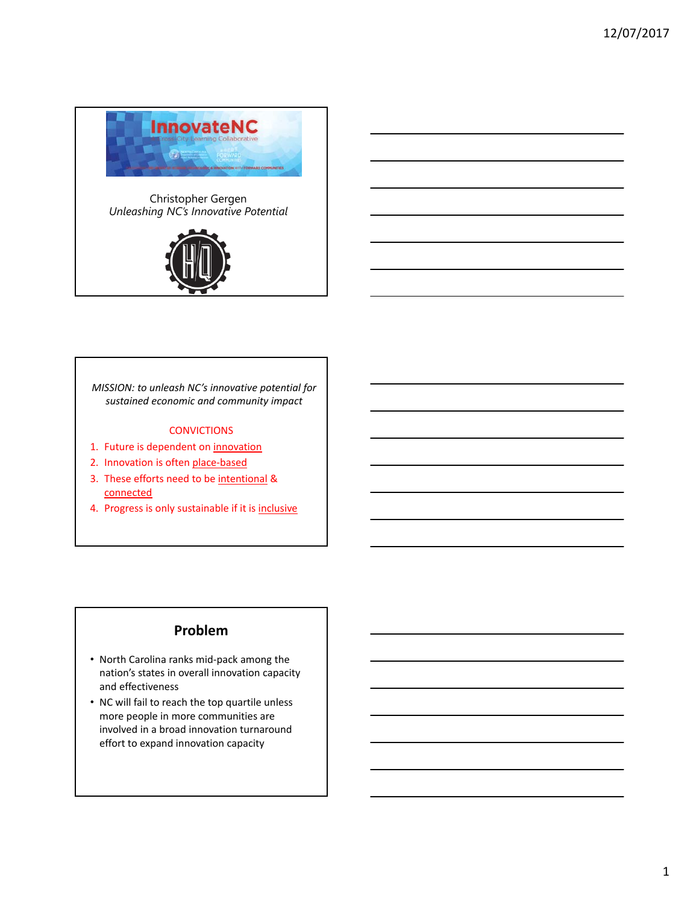

Christopher Gergen *Unleashing NC's Innovative Potential*



*MISSION: to unleash NC's innovative potential for sustained economic and community impact*

#### **CONVICTIONS**

- 1. Future is dependent on innovation
- 2. Innovation is often place-based
- 3. These efforts need to be intentional & connected
- 4. Progress is only sustainable if it is inclusive

### **Problem**

- North Carolina ranks mid‐pack among the nation's states in overall innovation capacity and effectiveness
- NC will fail to reach the top quartile unless more people in more communities are involved in a broad innovation turnaround effort to expand innovation capacity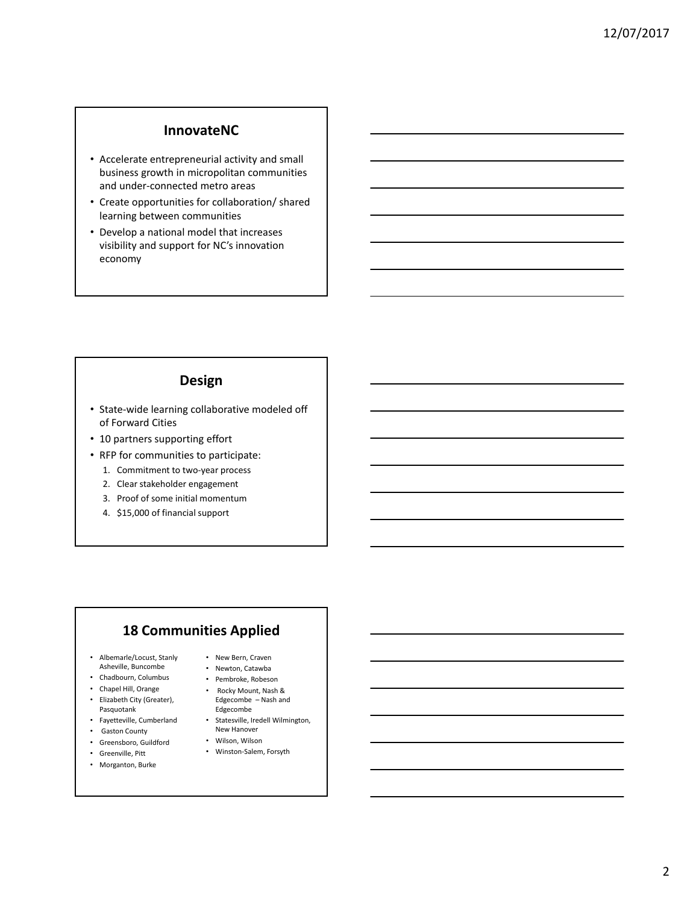### **InnovateNC**

- Accelerate entrepreneurial activity and small business growth in micropolitan communities and under‐connected metro areas
- Create opportunities for collaboration/ shared learning between communities
- Develop a national model that increases visibility and support for NC's innovation economy

### **Design**

- State‐wide learning collaborative modeled off of Forward Cities
- 10 partners supporting effort
- RFP for communities to participate:
	- 1. Commitment to two‐year process
	- 2. Clear stakeholder engagement
	- 3. Proof of some initial momentum
	- 4. \$15,000 of financial support

## **18 Communities Applied**

- Albemarle/Locust, Stanly Asheville, Buncombe
- Chadbourn, Columbus
- Chapel Hill, Orange
- Elizabeth City (Greater), Pasquotank
- Fayetteville, Cumberland
- Gaston County
- Greensboro, Guildford
- Greenville, Pitt
- Morganton, Burke
- New Bern, Craven • Newton, Catawba
- Pembroke, Robeson
- Rocky Mount, Nash & Edgecombe – Nash and Edgecombe
- Statesville, Iredell Wilmington, New Hanover
- Wilson, Wilson
- Winston‐Salem, Forsyth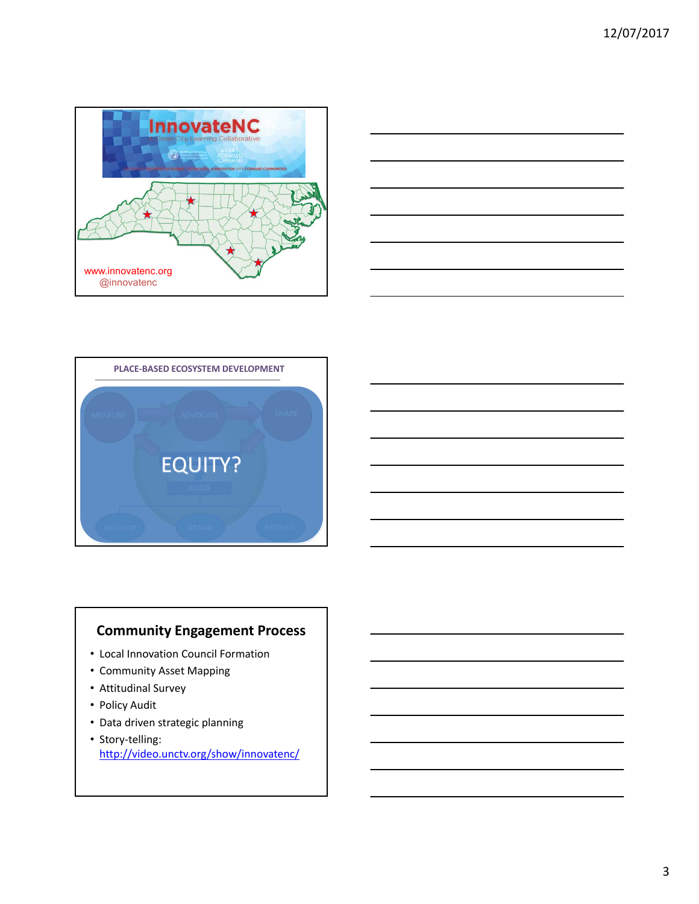





# **Community Engagement Process**

- Local Innovation Council Formation
- Community Asset Mapping
- Attitudinal Survey
- Policy Audit
- Data driven strategic planning
- Story‐telling: http://video.unctv.org/show/innovatenc/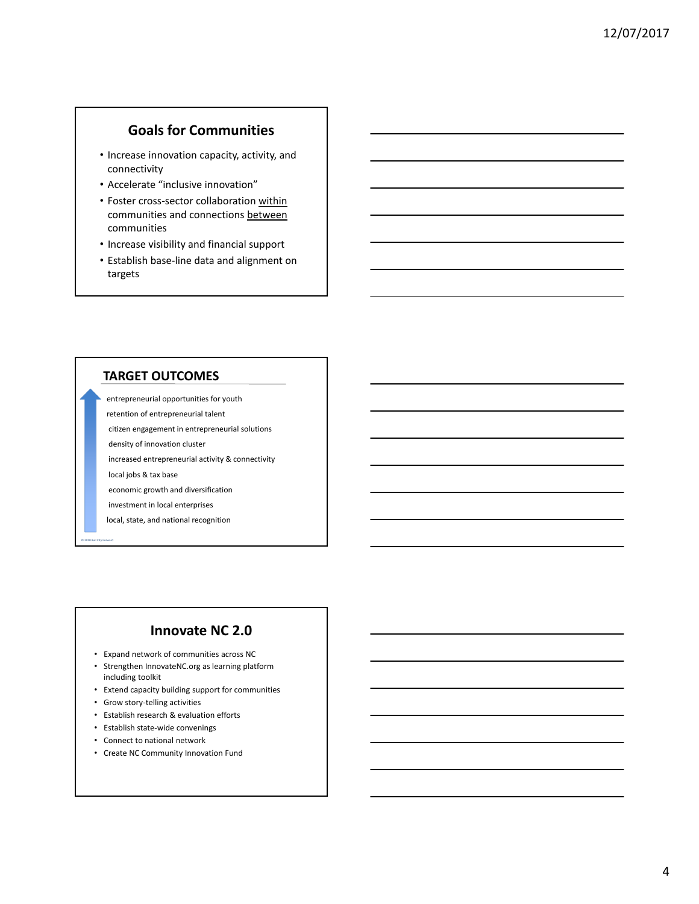## **Goals for Communities**

- Increase innovation capacity, activity, and connectivity
- Accelerate "inclusive innovation"
- Foster cross-sector collaboration within communities and connections between communities
- Increase visibility and financial support
- Establish base‐line data and alignment on targets

#### **TARGET OUTCOMES**

entrepreneurial opportunities for youth

- retention of entrepreneurial talent
- citizen engagement in entrepreneurial solutions
- density of innovation cluster
- increased entrepreneurial activity & connectivity
- local jobs & tax base

© 2010 Bull City Forward

- economic growth and diversification
- investment in local enterprises
- local, state, and national recognition

## **Innovate NC 2.0**

- Expand network of communities across NC
- Strengthen InnovateNC.org as learning platform including toolkit
- Extend capacity building support for communities
- Grow story‐telling activities
- Establish research & evaluation efforts
- Establish state‐wide convenings
- Connect to national network
- Create NC Community Innovation Fund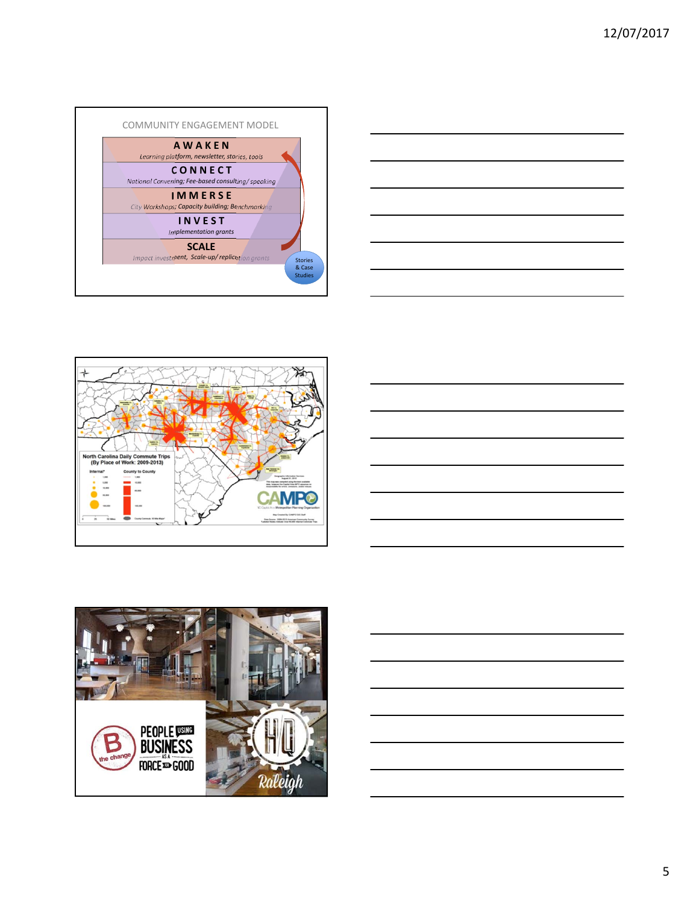